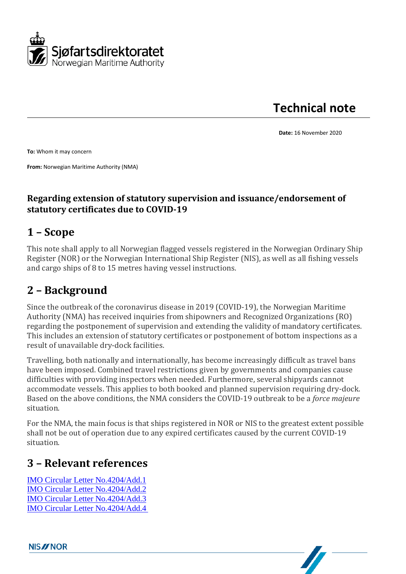

**Technical note**

**Date:** 16 November 2020

**To:** Whom it may concern

**From:** Norwegian Maritime Authority (NMA)

#### **Regarding extension of statutory supervision and issuance/endorsement of statutory certificates due to COVID-19**

#### **1 – Scope**

This note shall apply to all Norwegian flagged vessels registered in the Norwegian Ordinary Ship Register (NOR) or the Norwegian International Ship Register (NIS), as well as all fishing vessels and cargo ships of 8 to 15 metres having vessel instructions.

#### **2 – Background**

Since the outbreak of the coronavirus disease in 2019 (COVID-19), the Norwegian Maritime Authority (NMA) has received inquiries from shipowners and Recognized Organizations (RO) regarding the postponement of supervision and extending the validity of mandatory certificates. This includes an extension of statutory certificates or postponement of bottom inspections as a result of unavailable dry-dock facilities.

Travelling, both nationally and internationally, has become increasingly difficult as travel bans have been imposed. Combined travel restrictions given by governments and companies cause difficulties with providing inspectors when needed. Furthermore, several shipyards cannot accommodate vessels. This applies to both booked and planned supervision requiring dry-dock. Based on the above conditions, the NMA considers the COVID-19 outbreak to be a *force majeure*  situation.

For the NMA, the main focus is that ships registered in NOR or NIS to the greatest extent possible shall not be out of operation due to any expired certificates caused by the current COVID-19 situation.

#### **3 – Relevant references**

[IMO Circular Letter No.4204/Add.1](https://sjofartsdir-my.sharepoint.com/personal/kast_sdir_no/Documents/Rundskriv/CL.4204-Add.1%20English.pdf) [IMO Circular Letter No.4204/Add.2](https://sjofartsdir-my.sharepoint.com/personal/kast_sdir_no/Documents/Rundskriv/Circular%20Letter%20No.4204-Add.2%20-%20Joint%20Statement%20Imo-Who%20On%20The%20Response%20To%20The%20Covid-19%20Outbreak%20(Secretariat).pdf) [IMO Circular Letter No.4204/Add.3](https://sjofartsdir-my.sharepoint.com/personal/kast_sdir_no/Documents/Rundskriv/Circular%20Letter%20No.4204-Add.3.pdf) [IMO Circular Letter](https://sjofartsdir-my.sharepoint.com/personal/kast_sdir_no/Documents/Rundskriv/Circular%20Letter%20No.4204-Add.4.pdf) No.4204/Add.[4](https://sjofartsdir-my.sharepoint.com/personal/kast_sdir_no/Documents/Rundskriv/Circular%20Letter%20No.4204-Add.4.pdf)

**NIS//NOR**